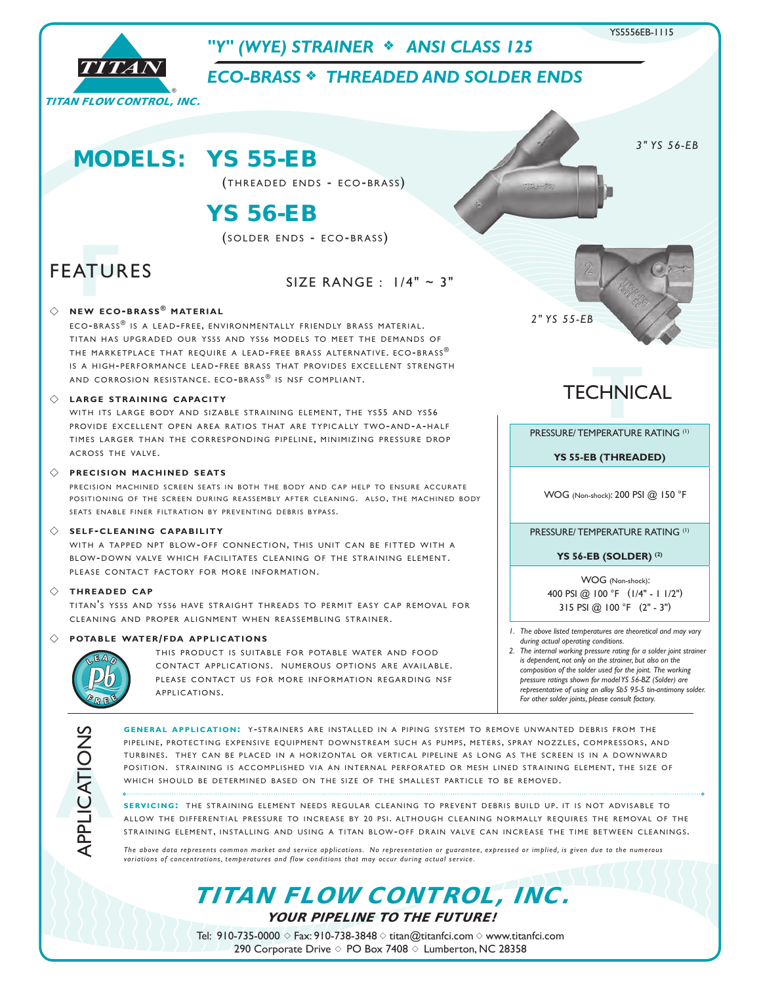

**A**APPLICATIONS

**GENERAL APPLICATION: Y-STRAINERS ARE INSTALLED IN A PIPING SYSTEM TO REMOVE UNWANTED DEBRIS FROM THE** PIPELINE, PROTECTING EXPENSIVE EQUIPMENT DOWNSTREAM SUCH AS PUMPS, METERS, SPRAY NOZZLES, COMPRESSORS, AND TURBINES. THEY CAN BE PLACED IN A HORIZONTAL OR VERTICAL PIPELINE AS LONG AS THE SCREEN IS IN A DOWNWARD POSITION. STRAINING IS ACCOMPLISHED VIA AN INTERNAL PERFORATED OR MESH LINED STRAINING ELEMENT, THE SIZE OF WHICH SHOULD BE DETERMINED BASED ON THE SIZE OF THE SMALLEST PARTICLE TO BE REMOVED.

**SERVICING:** THE STRAINING ELEMENT NEEDS REGULAR CLEANING TO PREVENT DEBRIS BUILD UP. IT IS NOT ADVISABLE TO ALLOW THE DIFFERENTIAL PRESSURE TO INCREASE BY 20 PSI. ALTHOUGH CLEANING NORMALLY REQUIRES THE REMOVAL OF THE STRAINING ELEMENT, INSTALLING AND USING A TITAN BLOW-OFF DRAIN VALVE CAN INCREASE THE TIME BETWEEN CLEANINGS.

*The above data represents common market and service applications. No representation or guarantee, expressed or implied, is given due to the numerous variations of concentrations, temperatures and flow conditions that may occur during actual service.*

TITAN FLOW CONTROL, INC.

YOUR PIPELINE TO THE FUTURE!

Tel: 910-735-0000  $\Diamond$  Fax: 910-738-3848  $\Diamond$  titan@titanfci.com  $\Diamond$  www.titanfci.com 290 Corporate Drive  $\diamond$  PO Box 7408  $\diamond$  Lumberton, NC 28358